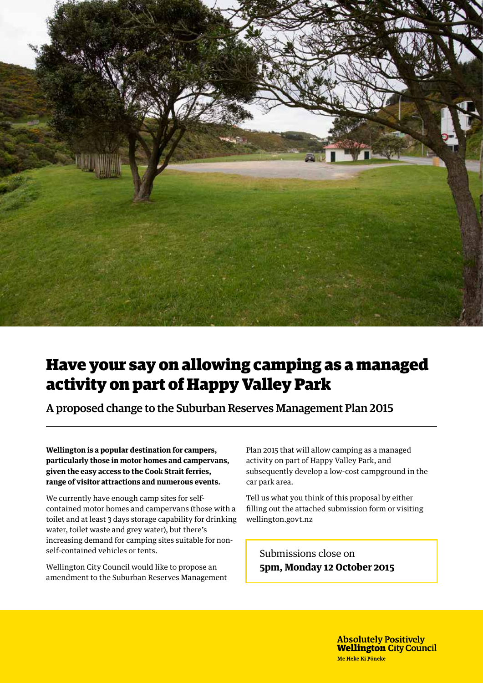

## Have your say on allowing camping as a managed activity on part of Happy Valley Park

A proposed change to the Suburban Reserves Management Plan 2015

**Wellington is a popular destination for campers, particularly those in motor homes and campervans, given the easy access to the Cook Strait ferries, range of visitor attractions and numerous events.**

We currently have enough camp sites for selfcontained motor homes and campervans (those with a toilet and at least 3 days storage capability for drinking water, toilet waste and grey water), but there's increasing demand for camping sites suitable for nonself-contained vehicles or tents.

Wellington City Council would like to propose an amendment to the Suburban Reserves Management Plan 2015 that will allow camping as a managed activity on part of Happy Valley Park, and subsequently develop a low-cost campground in the car park area.

Tell us what you think of this proposal by either filling out the attached submission form or visiting wellington.govt.nz

Submissions close on **5pm, Monday 12 October 2015**

> **Absolutely Positively Wellington City Council** Me Heke Ki Pôneke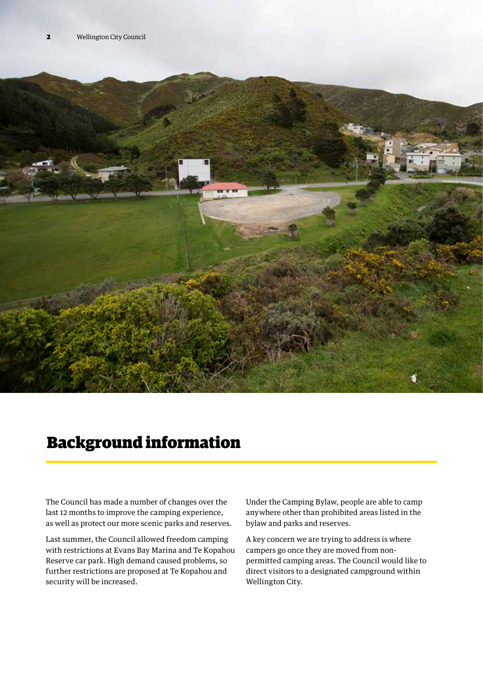

### Background information

The Council has made a number of changes over the last 12 months to improve the camping experience, as well as protect our more scenic parks and reserves.

Last summer, the Council allowed freedom camping with restrictions at Evans Bay Marina and Te Kopahou Reserve car park. High demand caused problems, so further restrictions are proposed at Te Kopahou and security will be increased.

Under the Camping Bylaw, people are able to camp anywhere other than prohibited areas listed in the bylaw and parks and reserves.

A key concern we are trying to address is where campers go once they are moved from nonpermitted camping areas. The Council would like to direct visitors to a designated campground within Wellington City.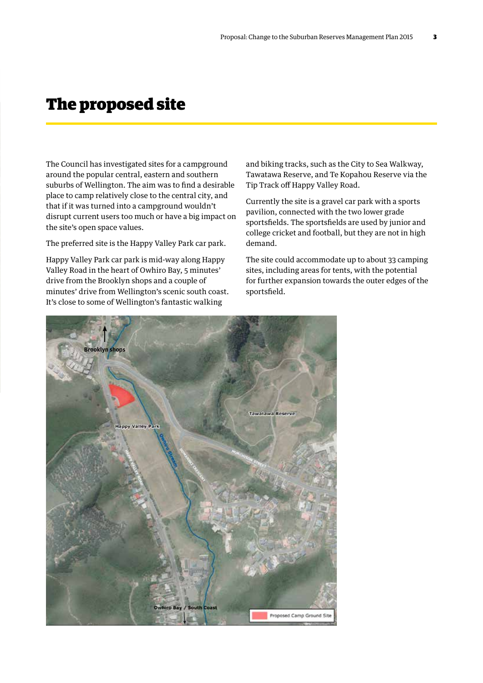### The proposed site

The Council has investigated sites for a campground around the popular central, eastern and southern suburbs of Wellington. The aim was to find a desirable place to camp relatively close to the central city, and that if it was turned into a campground wouldn't disrupt current users too much or have a big impact on the site's open space values.

The preferred site is the Happy Valley Park car park.

Happy Valley Park car park is mid-way along Happy Valley Road in the heart of Owhiro Bay, 5 minutes' drive from the Brooklyn shops and a couple of minutes' drive from Wellington's scenic south coast. It's close to some of Wellington's fantastic walking

and biking tracks, such as the City to Sea Walkway, Tawatawa Reserve, and Te Kopahou Reserve via the Tip Track off Happy Valley Road.

Currently the site is a gravel car park with a sports pavilion, connected with the two lower grade sportsfields. The sportsfields are used by junior and college cricket and football, but they are not in high demand.

The site could accommodate up to about 33 camping sites, including areas for tents, with the potential for further expansion towards the outer edges of the sportsfield.

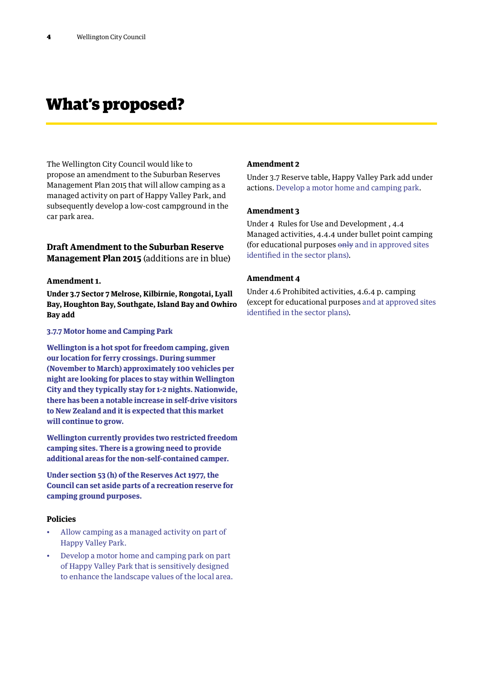## What's proposed?

The Wellington City Council would like to propose an amendment to the Suburban Reserves Management Plan 2015 that will allow camping as a managed activity on part of Happy Valley Park, and subsequently develop a low-cost campground in the car park area.

**Draft Amendment to the Suburban Reserve Management Plan 2015** (additions are in blue)

#### **Amendment 1.**

**Under 3.7 Sector 7 Melrose, Kilbirnie, Rongotai, Lyall Bay, Houghton Bay, Southgate, Island Bay and Owhiro Bay add** 

#### **3.7.7 Motor home and Camping Park**

**Wellington is a hot spot for freedom camping, given our location for ferry crossings. During summer (November to March) approximately 100 vehicles per night are looking for places to stay within Wellington City and they typically stay for 1-2 nights. Nationwide, there has been a notable increase in self-drive visitors to New Zealand and it is expected that this market will continue to grow.**

**Wellington currently provides two restricted freedom camping sites. There is a growing need to provide additional areas for the non-self-contained camper.** 

**Under section 53 (h) of the Reserves Act 1977, the Council can set aside parts of a recreation reserve for camping ground purposes.**

#### **Policies**

- Allow camping as a managed activity on part of Happy Valley Park.
- Develop a motor home and camping park on part of Happy Valley Park that is sensitively designed to enhance the landscape values of the local area.

#### **Amendment 2**

Under 3.7 Reserve table, Happy Valley Park add under actions. Develop a motor home and camping park.

#### **Amendment 3**

Under 4 Rules for Use and Development , 4.4 Managed activities, 4.4.4 under bullet point camping (for educational purposes only and in approved sites identified in the sector plans).

#### **Amendment 4**

Under 4.6 Prohibited activities, 4.6.4 p. camping (except for educational purposes and at approved sites identified in the sector plans).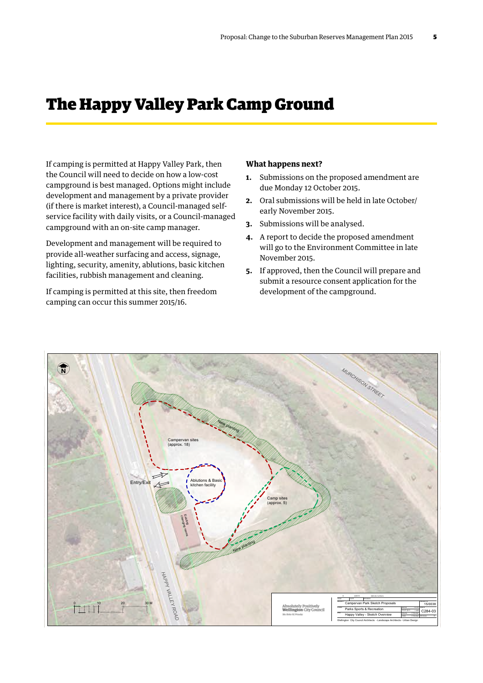### The Happy Valley Park Camp Ground

If camping is permitted at Happy Valley Park, then the Council will need to decide on how a low-cost campground is best managed. Options might include development and management by a private provider (if there is market interest), a Council-managed selfservice facility with daily visits, or a Council-managed campground with an on-site camp manager.

Development and management will be required to provide all-weather surfacing and access, signage, lighting, security, amenity, ablutions, basic kitchen facilities, rubbish management and cleaning.

If camping is permitted at this site, then freedom camping can occur this summer 2015/16.

#### **What happens next?**

- **1.** Submissions on the proposed amendment are due Monday 12 October 2015.
- **2.** Oral submissions will be held in late October/ early November 2015.
- **3.** Submissions will be analysed.
- **4.** A report to decide the proposed amendment will go to the Environment Committee in late November 2015.
- **5.** If approved, then the Council will prepare and submit a resource consent application for the development of the campground.

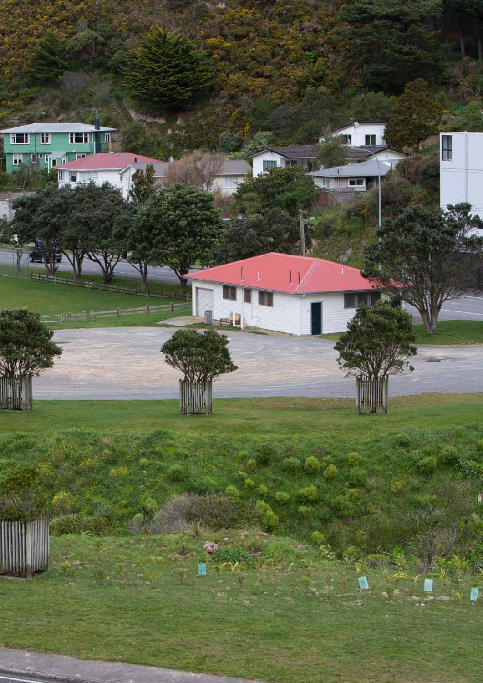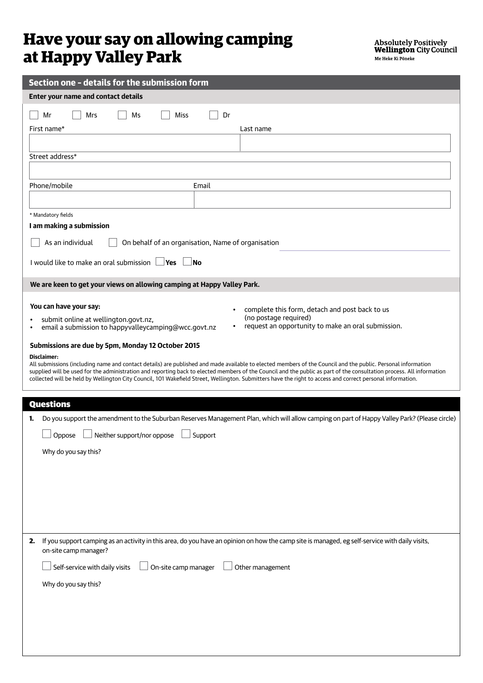## **Have your say on allowing camping at Happy Valley Park**

| Section one - details for the submission form                                                                                                                                                                                                                                                                                       |  |  |
|-------------------------------------------------------------------------------------------------------------------------------------------------------------------------------------------------------------------------------------------------------------------------------------------------------------------------------------|--|--|
| Enter your name and contact details                                                                                                                                                                                                                                                                                                 |  |  |
| Dr<br><b>Miss</b><br>Mr<br>Mrs<br>Ms                                                                                                                                                                                                                                                                                                |  |  |
| First name*<br>Last name                                                                                                                                                                                                                                                                                                            |  |  |
|                                                                                                                                                                                                                                                                                                                                     |  |  |
| Street address*                                                                                                                                                                                                                                                                                                                     |  |  |
|                                                                                                                                                                                                                                                                                                                                     |  |  |
| Phone/mobile<br>Email                                                                                                                                                                                                                                                                                                               |  |  |
|                                                                                                                                                                                                                                                                                                                                     |  |  |
| * Mandatory fields                                                                                                                                                                                                                                                                                                                  |  |  |
| I am making a submission                                                                                                                                                                                                                                                                                                            |  |  |
| On behalf of an organisation, Name of organisation<br>As an individual                                                                                                                                                                                                                                                              |  |  |
| I would like to make an oral submission $\perp$<br><b>Yes</b><br><b>No</b>                                                                                                                                                                                                                                                          |  |  |
|                                                                                                                                                                                                                                                                                                                                     |  |  |
| We are keen to get your views on allowing camping at Happy Valley Park.                                                                                                                                                                                                                                                             |  |  |
| You can have your say:<br>complete this form, detach and post back to us                                                                                                                                                                                                                                                            |  |  |
| (no postage required)<br>submit online at wellington.govt.nz,                                                                                                                                                                                                                                                                       |  |  |
| request an opportunity to make an oral submission.<br>email a submission to happyvalleycamping@wcc.govt.nz<br>$\bullet$                                                                                                                                                                                                             |  |  |
| Submissions are due by 5pm, Monday 12 October 2015                                                                                                                                                                                                                                                                                  |  |  |
| Disclaimer:<br>All submissions (including name and contact details) are published and made available to elected members of the Council and the public. Personal information                                                                                                                                                         |  |  |
| supplied will be used for the administration and reporting back to elected members of the Council and the public as part of the consultation process. All information<br>collected will be held by Wellington City Council, 101 Wakefield Street, Wellington. Submitters have the right to access and correct personal information. |  |  |
|                                                                                                                                                                                                                                                                                                                                     |  |  |
| <b>Questions</b>                                                                                                                                                                                                                                                                                                                    |  |  |
| Do you support the amendment to the Suburban Reserves Management Plan, which will allow camping on part of Happy Valley Park? (Please circle)<br>1.                                                                                                                                                                                 |  |  |
| Oppose $\Box$ Neither support/nor oppose $\Box$ Support                                                                                                                                                                                                                                                                             |  |  |
| Why do you say this?                                                                                                                                                                                                                                                                                                                |  |  |
|                                                                                                                                                                                                                                                                                                                                     |  |  |
|                                                                                                                                                                                                                                                                                                                                     |  |  |
|                                                                                                                                                                                                                                                                                                                                     |  |  |
|                                                                                                                                                                                                                                                                                                                                     |  |  |
|                                                                                                                                                                                                                                                                                                                                     |  |  |
| If you support camping as an activity in this area, do you have an opinion on how the camp site is managed, eg self-service with daily visits,<br>2.                                                                                                                                                                                |  |  |
| on-site camp manager?                                                                                                                                                                                                                                                                                                               |  |  |
| Self-service with daily visits<br>Other management<br>On-site camp manager                                                                                                                                                                                                                                                          |  |  |
| Why do you say this?                                                                                                                                                                                                                                                                                                                |  |  |
|                                                                                                                                                                                                                                                                                                                                     |  |  |
|                                                                                                                                                                                                                                                                                                                                     |  |  |
|                                                                                                                                                                                                                                                                                                                                     |  |  |
|                                                                                                                                                                                                                                                                                                                                     |  |  |